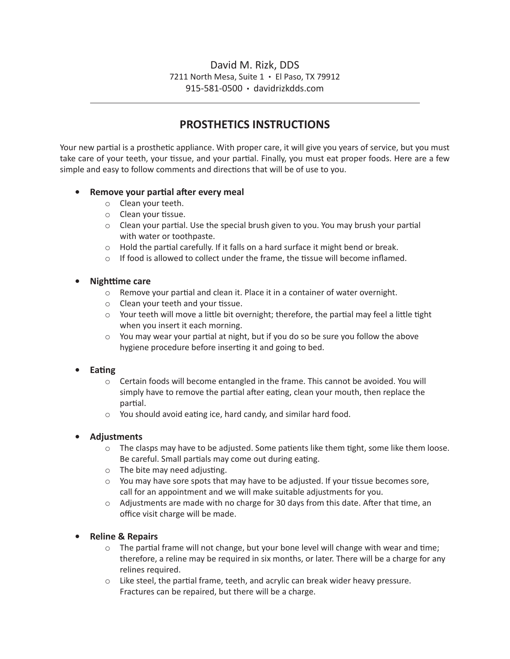## David M. Rizk, DDS 7211 North Mesa, Suite 1 • El Paso, TX 79912 915-581-0500 • davidrizkdds.com

# **PROSTHETICS INSTRUCTIONS**

Your new partial is a prosthetic appliance. With proper care, it will give you years of service, but you must take care of your teeth, your tissue, and your partial. Finally, you must eat proper foods. Here are a few simple and easy to follow comments and directions that will be of use to you.

### **• Remove your partial after every meal**

- o Clean your teeth.
- o Clean your tissue.
- $\circ$  Clean your partial. Use the special brush given to you. You may brush your partial with water or toothpaste.
- o Hold the partial carefully. If it falls on a hard surface it might bend or break.
- $\circ$  If food is allowed to collect under the frame, the tissue will become inflamed.

#### **• Nighttime** care

- o Remove your partial and clean it. Place it in a container of water overnight.
- o Clean your teeth and your tissue.
- $\circ$  Your teeth will move a little bit overnight; therefore, the partial may feel a little tight when you insert it each morning.
- $\circ$  You may wear your partial at night, but if you do so be sure you follow the above hygiene procedure before inserting it and going to bed.

### **Eating**

- $\circ$  Certain foods will become entangled in the frame. This cannot be avoided. You will simply have to remove the partial after eating, clean your mouth, then replace the partial.
- o You should avoid eating ice, hard candy, and similar hard food.

### **• Adjustments**

- $\circ$  The clasps may have to be adjusted. Some patients like them tight, some like them loose. Be careful. Small partials may come out during eating.
- o The bite may need adjusting.
- $\circ$  You may have sore spots that may have to be adjusted. If your tissue becomes sore, call for an appointment and we will make suitable adjustments for you.
- $\circ$  Adjustments are made with no charge for 30 days from this date. After that time, an office visit charge will be made.

### **• Reline & Repairs**

- $\circ$  The partial frame will not change, but your bone level will change with wear and time; therefore, a reline may be required in six months, or later. There will be a charge for any relines required.
- o Like steel, the partial frame, teeth, and acrylic can break wider heavy pressure. Fractures can be repaired, but there will be a charge.